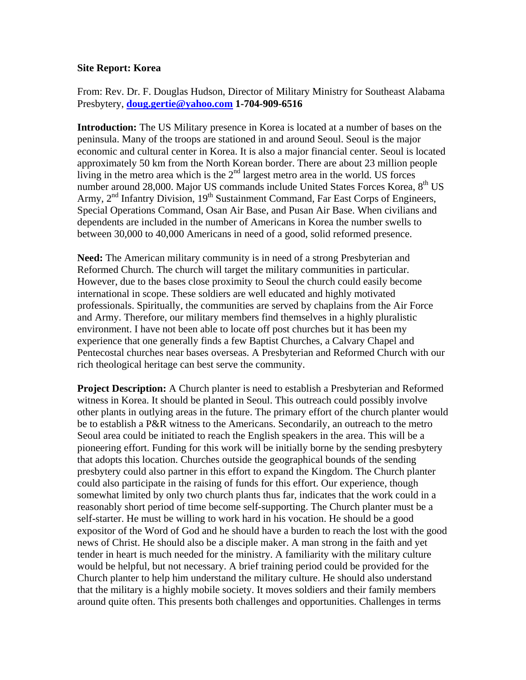## **Site Report: Korea**

From: Rev. Dr. F. Douglas Hudson, Director of Military Ministry for Southeast Alabama Presbytery, **[doug.gertie@yahoo.com](mailto:doug.gertie@yahoo.com) 1-704-909-6516**

**Introduction:** The US Military presence in Korea is located at a number of bases on the peninsula. Many of the troops are stationed in and around Seoul. Seoul is the major economic and cultural center in Korea. It is also a major financial center. Seoul is located approximately 50 km from the North Korean border. There are about 23 million people living in the metro area which is the  $2<sup>nd</sup>$  largest metro area in the world. US forces number around 28,000. Major US commands include United States Forces Korea, 8<sup>th</sup> US Army, 2<sup>nd</sup> Infantry Division, 19<sup>th</sup> Sustainment Command, Far East Corps of Engineers, Special Operations Command, Osan Air Base, and Pusan Air Base. When civilians and dependents are included in the number of Americans in Korea the number swells to between 30,000 to 40,000 Americans in need of a good, solid reformed presence.

**Need:** The American military community is in need of a strong Presbyterian and Reformed Church. The church will target the military communities in particular. However, due to the bases close proximity to Seoul the church could easily become international in scope. These soldiers are well educated and highly motivated professionals. Spiritually, the communities are served by chaplains from the Air Force and Army. Therefore, our military members find themselves in a highly pluralistic environment. I have not been able to locate off post churches but it has been my experience that one generally finds a few Baptist Churches, a Calvary Chapel and Pentecostal churches near bases overseas. A Presbyterian and Reformed Church with our rich theological heritage can best serve the community.

**Project Description:** A Church planter is need to establish a Presbyterian and Reformed witness in Korea. It should be planted in Seoul. This outreach could possibly involve other plants in outlying areas in the future. The primary effort of the church planter would be to establish a P&R witness to the Americans. Secondarily, an outreach to the metro Seoul area could be initiated to reach the English speakers in the area. This will be a pioneering effort. Funding for this work will be initially borne by the sending presbytery that adopts this location. Churches outside the geographical bounds of the sending presbytery could also partner in this effort to expand the Kingdom. The Church planter could also participate in the raising of funds for this effort. Our experience, though somewhat limited by only two church plants thus far, indicates that the work could in a reasonably short period of time become self-supporting. The Church planter must be a self-starter. He must be willing to work hard in his vocation. He should be a good expositor of the Word of God and he should have a burden to reach the lost with the good news of Christ. He should also be a disciple maker. A man strong in the faith and yet tender in heart is much needed for the ministry. A familiarity with the military culture would be helpful, but not necessary. A brief training period could be provided for the Church planter to help him understand the military culture. He should also understand that the military is a highly mobile society. It moves soldiers and their family members around quite often. This presents both challenges and opportunities. Challenges in terms